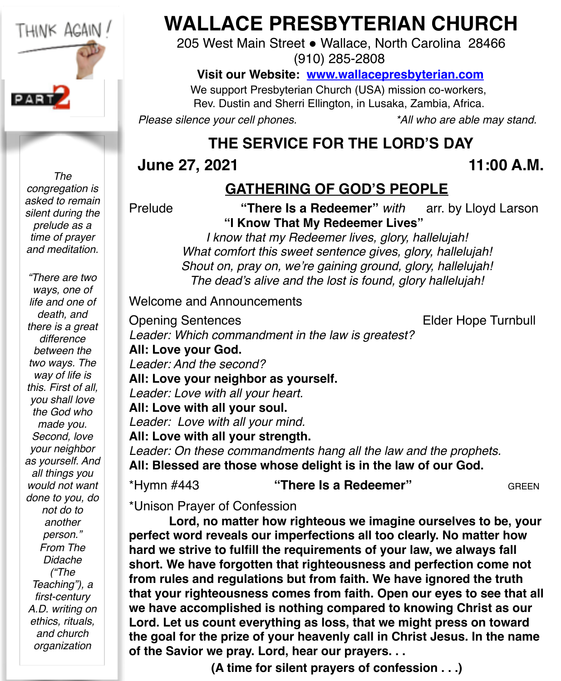

**WALLACE PRESBYTERIAN CHURCH**

205 West Main Street . Wallace, North Carolina 28466 (910) 285-2808

#### **Visit our Website: [www.wallacepresbyterian.com](http://www.wallacepresbyterian.com)**

 We support Presbyterian Church (USA) mission co-workers, Rev. Dustin and Sherri Ellington, in Lusaka, Zambia, Africa.

*Please silence your cell phones. \*All who are able may stand.*

### **THE SERVICE FOR THE LORD'S DAY**

#### **June 27, 2021 11:00 A.M.**

#### **GATHERING OF GOD'S PEOPLE**

Prelude **"There Is a Redeemer"** *with* arr. by Lloyd Larson **"I Know That My Redeemer Lives"**

> *I know that my Redeemer lives, glory, hallelujah! What comfort this sweet sentence gives, glory, hallelujah! Shout on, pray on, we're gaining ground, glory, hallelujah! The dead's alive and the lost is found, glory hallelujah!*

**Welcome and Announcements** 

Opening Sentences **Elder Hope Turnbull** *Leader: Which commandment in the law is greatest?* **All: Love your God.** *Leader: And the second?* **All: Love your neighbor as yourself.** *Leader: Love with all your heart.* **All: Love with all your soul.** *Leader: Love with all your mind.* **All: Love with all your strength.** *Leader: On these commandments hang all the law and the prophets.* **All: Blessed are those whose delight is in the law of our God.**

\*Hymn #443 **"There Is a Redeemer"** GREEN

\*Unison Prayer of Confession

**Lord, no matter how righteous we imagine ourselves to be, your perfect word reveals our imperfections all too clearly. No matter how hard we strive to fulfill the requirements of your law, we always fall short. We have forgotten that righteousness and perfection come not from rules and regulations but from faith. We have ignored the truth that your righteousness comes from faith. Open our eyes to see that all we have accomplished is nothing compared to knowing Christ as our Lord. Let us count everything as loss, that we might press on toward the goal for the prize of your heavenly call in Christ Jesus. In the name of the Savior we pray. Lord, hear our prayers. . .**

**(A time for silent prayers of confession . . .)**

*congregation is asked to remain silent during the prelude as a time of prayer and meditation. "There are two* 

*The* 

*ways, one of life and one of death, and there is a great difference between the two ways. The way of life is this. First of all, you shall love the God who made you. Second, love your neighbor as yourself. And all things you would not want done to you, do not do to another person." From The Didache ("The Teaching"), a first-century A.D. writing on ethics, rituals, and church organization*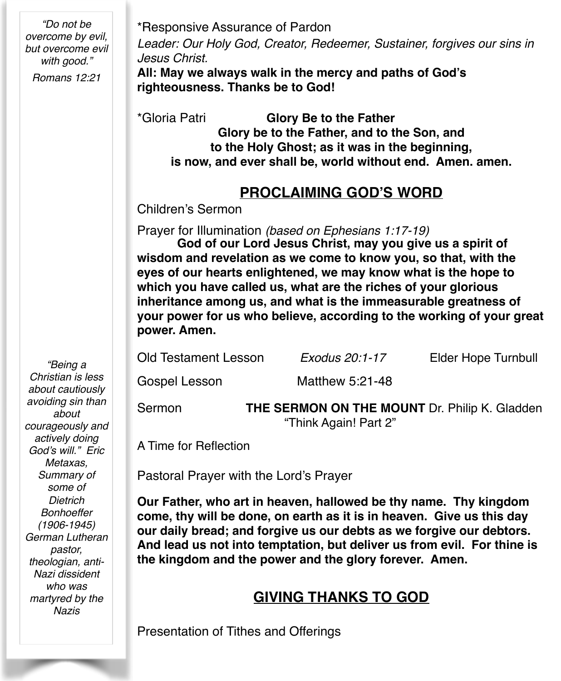*"Do not be overcome by evil, but overcome evil with good." Romans 12:21*

\*Responsive Assurance of Pardon

*Leader: Our Holy God, Creator, Redeemer, Sustainer, forgives our sins in Jesus Christ.*

**All: May we always walk in the mercy and paths of God's righteousness. Thanks be to God!**

\*Gloria Patri **Glory Be to the Father Glory be to the Father, and to the Son, and to the Holy Ghost; as it was in the beginning, is now, and ever shall be, world without end. Amen. amen.**

#### **PROCLAIMING GOD'S WORD**

Children's Sermon

Prayer for Illumination *(based on Ephesians 1:17-19)*

**God of our Lord Jesus Christ, may you give us a spirit of wisdom and revelation as we come to know you, so that, with the eyes of our hearts enlightened, we may know what is the hope to which you have called us, what are the riches of your glorious inheritance among us, and what is the immeasurable greatness of your power for us who believe, according to the working of your great power. Amen.**

| Sermon               | THE SERMON ON THE MOUNT Dr. Philip K. Gladden |                     |
|----------------------|-----------------------------------------------|---------------------|
| Gospel Lesson        | Matthew 5:21-48                               |                     |
| Old Testament Lesson | Exodus 20:1-17                                | Elder Hope Turnbull |

"Think Again! Part 2"

A Time for Reflection

Pastoral Prayer with the Lord's Prayer

**Our Father, who art in heaven, hallowed be thy name. Thy kingdom come, thy will be done, on earth as it is in heaven. Give us this day our daily bread; and forgive us our debts as we forgive our debtors. And lead us not into temptation, but deliver us from evil. For thine is the kingdom and the power and the glory forever. Amen.** 

#### **GIVING THANKS TO GOD**

Presentation of Tithes and Offerings

*"Being a Christian is less about cautiously avoiding sin than about courageously and actively doing God's will." Eric Metaxas, Summary of some of Dietrich Bonhoeffer (1906-1945) German Lutheran pastor, theologian, anti-Nazi dissident who was martyred by the Nazis*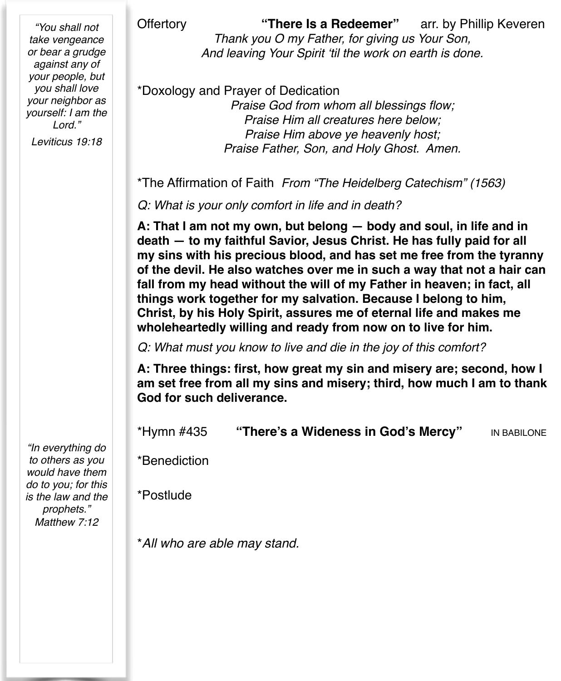*"You shall not take vengeance or bear a grudge against any of your people, but you shall love your neighbor as yourself: I am the Lord."*

*Leviticus 19:18*

Offertory **"There Is a Redeemer"** arr. by Phillip Keveren *Thank you O my Father, for giving us Your Son, And leaving Your Spirit 'til the work on earth is done.*

\*Doxology and Prayer of Dedication *Praise God from whom all blessings flow; Praise Him all creatures here below; Praise Him above ye heavenly host; Praise Father, Son, and Holy Ghost. Amen.*

\*The Affirmation of Faith *From "The Heidelberg Catechism" (1563)*

*Q: What is your only comfort in life and in death?*

**A: That I am not my own, but belong — body and soul, in life and in death — to my faithful Savior, Jesus Christ. He has fully paid for all my sins with his precious blood, and has set me free from the tyranny of the devil. He also watches over me in such a way that not a hair can fall from my head without the will of my Father in heaven; in fact, all things work together for my salvation. Because I belong to him, Christ, by his Holy Spirit, assures me of eternal life and makes me wholeheartedly willing and ready from now on to live for him.**

*Q: What must you know to live and die in the joy of this comfort?*

**A: Three things: first, how great my sin and misery are; second, how I am set free from all my sins and misery; third, how much I am to thank God for such deliverance.**

\*Hymn #435 **"There's a Wideness in God's Mercy"** IN BABILONE

\*Benediction

\*Postlude

\**All who are able may stand.*

*"In everything do to others as you would have them do to you; for this is the law and the prophets." Matthew 7:12*